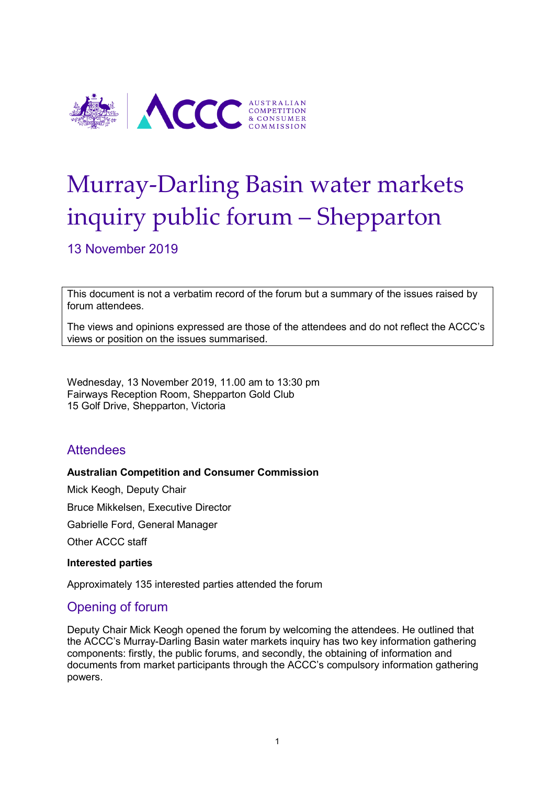

# Murray-Darling Basin water markets inquiry public forum – Shepparton

13 November 2019

This document is not a verbatim record of the forum but a summary of the issues raised by forum attendees.

The views and opinions expressed are those of the attendees and do not reflect the ACCC's views or position on the issues summarised.

Wednesday, 13 November 2019, 11.00 am to 13:30 pm Fairways Reception Room, Shepparton Gold Club 15 Golf Drive, Shepparton, Victoria

# **Attendees**

#### **Australian Competition and Consumer Commission**

Mick Keogh, Deputy Chair Bruce Mikkelsen, Executive Director Gabrielle Ford, General Manager

Other ACCC staff

#### **Interested parties**

Approximately 135 interested parties attended the forum

# Opening of forum

Deputy Chair Mick Keogh opened the forum by welcoming the attendees. He outlined that the ACCC's Murray-Darling Basin water markets inquiry has two key information gathering components: firstly, the public forums, and secondly, the obtaining of information and documents from market participants through the ACCC's compulsory information gathering powers.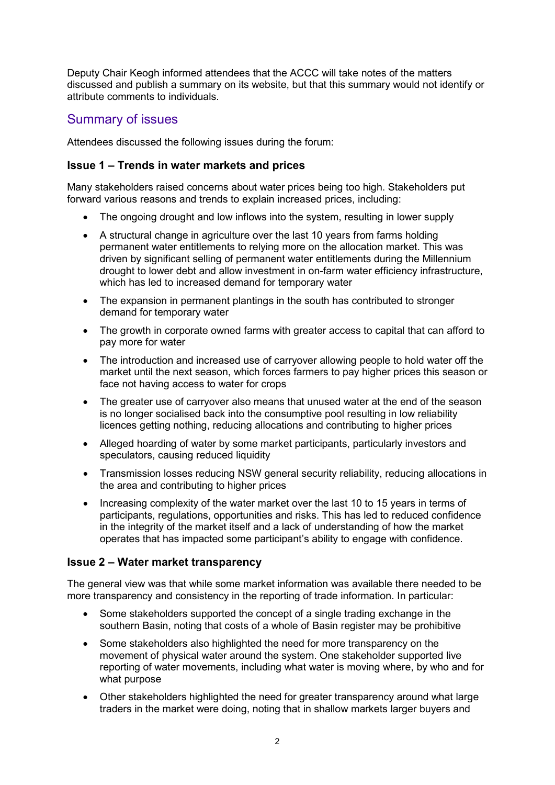Deputy Chair Keogh informed attendees that the ACCC will take notes of the matters discussed and publish a summary on its website, but that this summary would not identify or attribute comments to individuals.

# Summary of issues

Attendees discussed the following issues during the forum:

## **Issue 1 – Trends in water markets and prices**

Many stakeholders raised concerns about water prices being too high. Stakeholders put forward various reasons and trends to explain increased prices, including:

- The ongoing drought and low inflows into the system, resulting in lower supply
- A structural change in agriculture over the last 10 years from farms holding permanent water entitlements to relying more on the allocation market. This was driven by significant selling of permanent water entitlements during the Millennium drought to lower debt and allow investment in on-farm water efficiency infrastructure, which has led to increased demand for temporary water
- The expansion in permanent plantings in the south has contributed to stronger demand for temporary water
- The growth in corporate owned farms with greater access to capital that can afford to pay more for water
- The introduction and increased use of carryover allowing people to hold water off the market until the next season, which forces farmers to pay higher prices this season or face not having access to water for crops
- The greater use of carryover also means that unused water at the end of the season is no longer socialised back into the consumptive pool resulting in low reliability licences getting nothing, reducing allocations and contributing to higher prices
- Alleged hoarding of water by some market participants, particularly investors and speculators, causing reduced liquidity
- Transmission losses reducing NSW general security reliability, reducing allocations in the area and contributing to higher prices
- Increasing complexity of the water market over the last 10 to 15 years in terms of participants, regulations, opportunities and risks. This has led to reduced confidence in the integrity of the market itself and a lack of understanding of how the market operates that has impacted some participant's ability to engage with confidence.

## **Issue 2 – Water market transparency**

The general view was that while some market information was available there needed to be more transparency and consistency in the reporting of trade information. In particular:

- Some stakeholders supported the concept of a single trading exchange in the southern Basin, noting that costs of a whole of Basin register may be prohibitive
- Some stakeholders also highlighted the need for more transparency on the movement of physical water around the system. One stakeholder supported live reporting of water movements, including what water is moving where, by who and for what purpose
- Other stakeholders highlighted the need for greater transparency around what large traders in the market were doing, noting that in shallow markets larger buyers and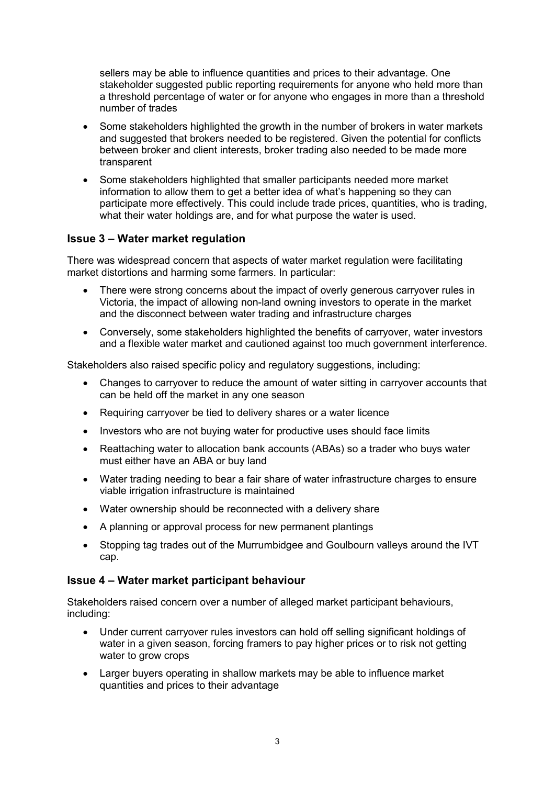sellers may be able to influence quantities and prices to their advantage. One stakeholder suggested public reporting requirements for anyone who held more than a threshold percentage of water or for anyone who engages in more than a threshold number of trades

- Some stakeholders highlighted the growth in the number of brokers in water markets and suggested that brokers needed to be registered. Given the potential for conflicts between broker and client interests, broker trading also needed to be made more transparent
- Some stakeholders highlighted that smaller participants needed more market information to allow them to get a better idea of what's happening so they can participate more effectively. This could include trade prices, quantities, who is trading, what their water holdings are, and for what purpose the water is used.

## **Issue 3 – Water market regulation**

There was widespread concern that aspects of water market regulation were facilitating market distortions and harming some farmers. In particular:

- There were strong concerns about the impact of overly generous carryover rules in Victoria, the impact of allowing non-land owning investors to operate in the market and the disconnect between water trading and infrastructure charges
- Conversely, some stakeholders highlighted the benefits of carryover, water investors and a flexible water market and cautioned against too much government interference.

Stakeholders also raised specific policy and regulatory suggestions, including:

- Changes to carryover to reduce the amount of water sitting in carryover accounts that can be held off the market in any one season
- Requiring carryover be tied to delivery shares or a water licence
- Investors who are not buying water for productive uses should face limits
- Reattaching water to allocation bank accounts (ABAs) so a trader who buys water must either have an ABA or buy land
- Water trading needing to bear a fair share of water infrastructure charges to ensure viable irrigation infrastructure is maintained
- Water ownership should be reconnected with a delivery share
- A planning or approval process for new permanent plantings
- Stopping tag trades out of the Murrumbidgee and Goulbourn valleys around the IVT cap.

## **Issue 4 – Water market participant behaviour**

Stakeholders raised concern over a number of alleged market participant behaviours, including:

- Under current carryover rules investors can hold off selling significant holdings of water in a given season, forcing framers to pay higher prices or to risk not getting water to grow crops
- Larger buyers operating in shallow markets may be able to influence market quantities and prices to their advantage